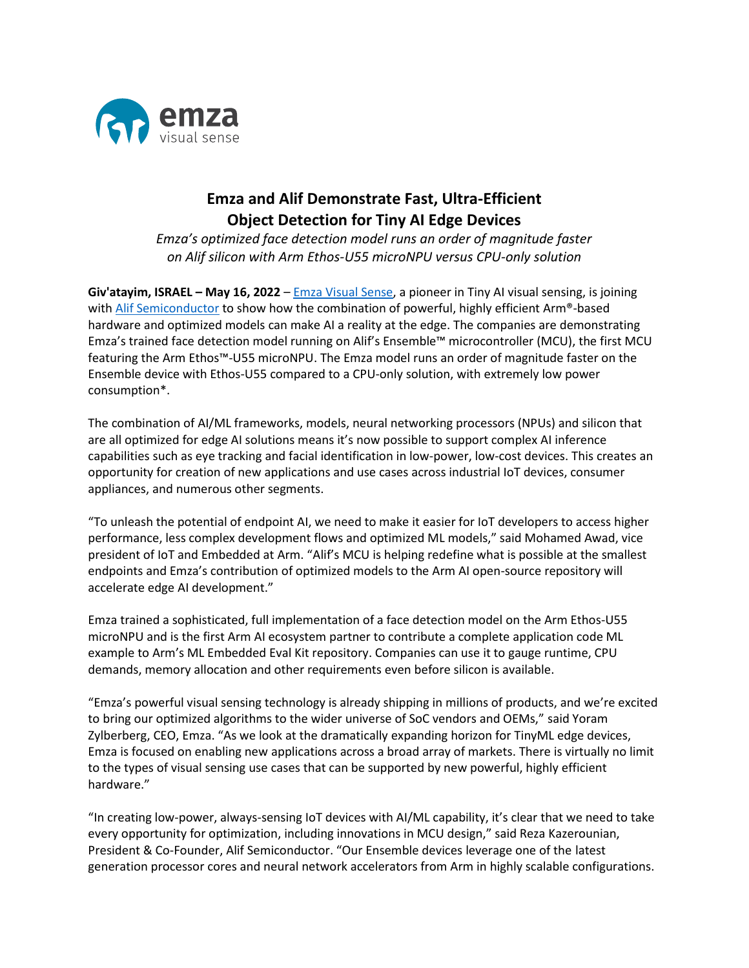

## **Emza and Alif Demonstrate Fast, Ultra-Efficient Object Detection for Tiny AI Edge Devices**

*Emza's optimized face detection model runs an order of magnitude faster on Alif silicon with Arm Ethos-U55 microNPU versus CPU-only solution*

**Giv'atayim, ISRAEL – May 16, 2022** – [Emza Visual Sense,](http://www.emza-vs.com/) a pioneer in Tiny AI visual sensing, is joining with [Alif Semiconductor](https://alifsemi.com/) to show how the combination of powerful, highly efficient Arm®-based hardware and optimized models can make AI a reality at the edge. The companies are demonstrating Emza's trained face detection model running on Alif's Ensemble™ microcontroller (MCU), the first MCU featuring the Arm Ethos™-U55 microNPU. The Emza model runs an order of magnitude faster on the Ensemble device with Ethos-U55 compared to a CPU-only solution, with extremely low power consumption\*.

The combination of AI/ML frameworks, models, neural networking processors (NPUs) and silicon that are all optimized for edge AI solutions means it's now possible to support complex AI inference capabilities such as eye tracking and facial identification in low-power, low-cost devices. This creates an opportunity for creation of new applications and use cases across industrial IoT devices, consumer appliances, and numerous other segments.

"To unleash the potential of endpoint AI, we need to make it easier for IoT developers to access higher performance, less complex development flows and optimized ML models," said Mohamed Awad, vice president of IoT and Embedded at Arm. "Alif's MCU is helping redefine what is possible at the smallest endpoints and Emza's contribution of optimized models to the Arm AI open-source repository will accelerate edge AI development."

Emza trained a sophisticated, full implementation of a face detection model on the Arm Ethos-U55 microNPU and is the first Arm AI ecosystem partner to contribute a complete application code ML example to Arm's ML Embedded Eval Kit repository. Companies can use it to gauge runtime, CPU demands, memory allocation and other requirements even before silicon is available.

"Emza's powerful visual sensing technology is already shipping in millions of products, and we're excited to bring our optimized algorithms to the wider universe of SoC vendors and OEMs," said Yoram Zylberberg, CEO, Emza. "As we look at the dramatically expanding horizon for TinyML edge devices, Emza is focused on enabling new applications across a broad array of markets. There is virtually no limit to the types of visual sensing use cases that can be supported by new powerful, highly efficient hardware."

"In creating low-power, always-sensing IoT devices with AI/ML capability, it's clear that we need to take every opportunity for optimization, including innovations in MCU design," said Reza Kazerounian, President & Co-Founder, Alif Semiconductor. "Our Ensemble devices leverage one of the latest generation processor cores and neural network accelerators from Arm in highly scalable configurations.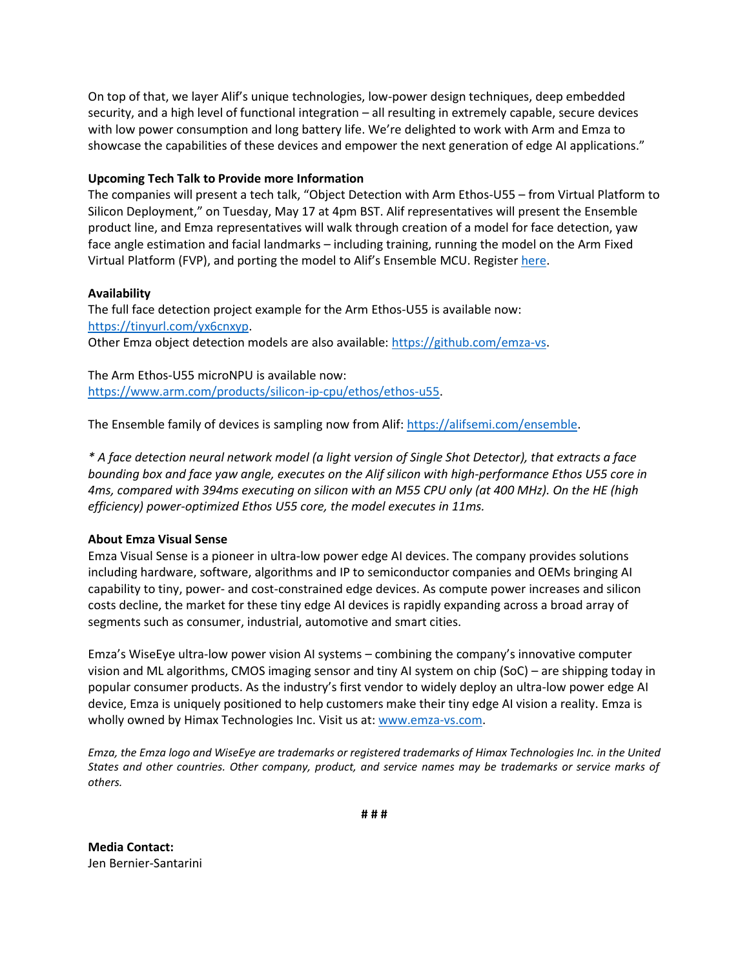On top of that, we layer Alif's unique technologies, low-power design techniques, deep embedded security, and a high level of functional integration – all resulting in extremely capable, secure devices with low power consumption and long battery life. We're delighted to work with Arm and Emza to showcase the capabilities of these devices and empower the next generation of edge AI applications."

## **Upcoming Tech Talk to Provide more Information**

The companies will present a tech talk, "Object Detection with Arm Ethos-U55 – from Virtual Platform to Silicon Deployment," on Tuesday, May 17 at 4pm BST. Alif representatives will present the Ensemble product line, and Emza representatives will walk through creation of a model for face detection, yaw face angle estimation and facial landmarks – including training, running the model on the Arm Fixed Virtual Platform (FVP), and porting the model to Alif's Ensemble MCU. Register [here.](https://armltd.zoom.us/webinar/register/9216462296768/WN_6J7mePu2Q--7RM-QDODJKg)

## **Availability**

The full face detection project example for the Arm Ethos-U55 is available now: [https://tinyurl.com/yx6cnxyp.](https://tinyurl.com/yx6cnxyp) Other Emza object detection models are also available: [https://github.com/emza-vs.](https://github.com/emza-vs)

The Arm Ethos-U55 microNPU is available now: [https://www.arm.com/products/silicon-ip-cpu/ethos/ethos-u55.](https://www.arm.com/products/silicon-ip-cpu/ethos/ethos-u55)

The Ensemble family of devices is sampling now from Alif[: https://alifsemi.com/ensemble.](https://alifsemi.com/ensemble)

*\* A face detection neural network model (a light version of Single Shot Detector), that extracts a face bounding box and face yaw angle, executes on the Alif silicon with high-performance Ethos U55 core in 4ms, compared with 394ms executing on silicon with an M55 CPU only (at 400 MHz). On the HE (high efficiency) power-optimized Ethos U55 core, the model executes in 11ms.*

## **About Emza Visual Sense**

Emza Visual Sense is a pioneer in ultra-low power edge AI devices. The company provides solutions including hardware, software, algorithms and IP to semiconductor companies and OEMs bringing AI capability to tiny, power- and cost-constrained edge devices. As compute power increases and silicon costs decline, the market for these tiny edge AI devices is rapidly expanding across a broad array of segments such as consumer, industrial, automotive and smart cities.

Emza's WiseEye ultra-low power vision AI systems – combining the company's innovative computer vision and ML algorithms, CMOS imaging sensor and tiny AI system on chip (SoC) – are shipping today in popular consumer products. As the industry's first vendor to widely deploy an ultra-low power edge AI device, Emza is uniquely positioned to help customers make their tiny edge AI vision a reality. Emza is wholly owned by Himax Technologies Inc. Visit us at: [www.emza-vs.com.](http://www.emza-vs.com/)

*Emza, the Emza logo and WiseEye are trademarks or registered trademarks of Himax Technologies Inc. in the United States and other countries. Other company, product, and service names may be trademarks or service marks of others.*

**Media Contact:** Jen Bernier-Santarini